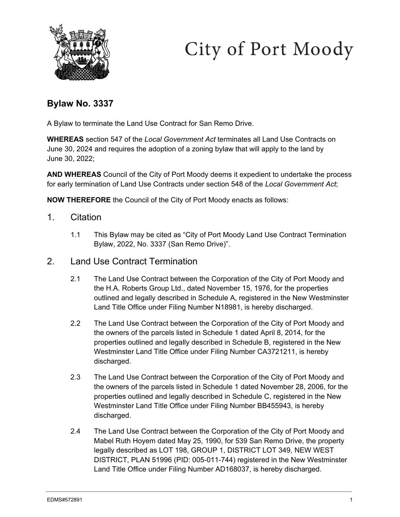



# **Bylaw No. 3337**

A Bylaw to terminate the Land Use Contract for San Remo Drive.

**WHEREAS** section 547 of the *Local Government Act* terminates all Land Use Contracts on June 30, 2024 and requires the adoption of a zoning bylaw that will apply to the land by June 30, 2022;

**AND WHEREAS** Council of the City of Port Moody deems it expedient to undertake the process for early termination of Land Use Contracts under section 548 of the *Local Government Act*;

**NOW THEREFORE** the Council of the City of Port Moody enacts as follows:

- 1. Citation
	- 1.1 This Bylaw may be cited as "City of Port Moody Land Use Contract Termination Bylaw, 2022, No. 3337 (San Remo Drive)".
- 2. Land Use Contract Termination
	- 2.1 The Land Use Contract between the Corporation of the City of Port Moody and the H.A. Roberts Group Ltd., dated November 15, 1976, for the properties outlined and legally described in Schedule A, registered in the New Westminster Land Title Office under Filing Number N18981, is hereby discharged.
	- 2.2 The Land Use Contract between the Corporation of the City of Port Moody and the owners of the parcels listed in Schedule 1 dated April 8, 2014, for the properties outlined and legally described in Schedule B, registered in the New Westminster Land Title Office under Filing Number CA3721211, is hereby discharged.
	- 2.3 The Land Use Contract between the Corporation of the City of Port Moody and the owners of the parcels listed in Schedule 1 dated November 28, 2006, for the properties outlined and legally described in Schedule C, registered in the New Westminster Land Title Office under Filing Number BB455943, is hereby discharged.
	- 2.4 The Land Use Contract between the Corporation of the City of Port Moody and Mabel Ruth Hoyem dated May 25, 1990, for 539 San Remo Drive, the property legally described as LOT 198, GROUP 1, DISTRICT LOT 349, NEW WEST DISTRICT, PLAN 51996 (PID: 005-011-744) registered in the New Westminster Land Title Office under Filing Number AD168037, is hereby discharged.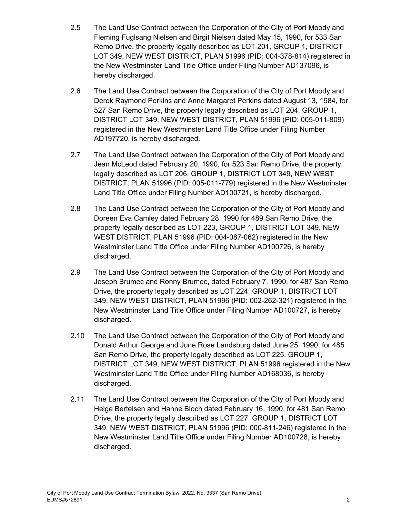- 2.5 The Land Use Contract between the Corporation of the City of Port Moody and Fleming Fuglsang Nielsen and Birgit Nielsen dated May 15, 1990, for 533 San Remo Drive, the property legally described as LOT 201, GROUP 1, DISTRICT LOT 349, NEW WEST DISTRICT, PLAN 51996 (PID: 004-378-814) registered in the New Westminster Land Title Office under Filing Number AD137096, is hereby discharged.
- 2.6 The Land Use Contract between the Corporation of the City of Port Moody and Derek Raymond Perkins and Anne Margaret Perkins dated August 13, 1984, for 527 San Remo Drive, the property legally described as LOT 204, GROUP 1, DISTRICT LOT 349, NEW WEST DISTRICT, PLAN 51996 (PID: 005-011-809) registered in the New Westminster Land Title Office under Filing Number AD197720, is hereby discharged.
- 2.7 The Land Use Contract between the Corporation of the City of Port Moody and Jean McLeod dated February 20, 1990, for 523 San Remo Drive, the property legally described as LOT 206, GROUP 1, DISTRICT LOT 349, NEW WEST DISTRICT, PLAN 51996 (PID: 005-011-779) registered in the New Westminster Land Title Office under Filing Number AD100721, is hereby discharged.
- 2.8 The Land Use Contract between the Corporation of the City of Port Moody and Doreen Eva Camley dated February 28, 1990 for 489 San Remo Drive, the property legally described as LOT 223, GROUP 1, DISTRICT LOT 349, NEW WEST DISTRICT, PLAN 51996 (PID: 004-087-062) registered in the New Westminster Land Title Office under Filing Number AD100726, is hereby discharged.
- 2.9 The Land Use Contract between the Corporation of the City of Port Moody and Joseph Brumec and Ronny Brumec, dated February 7, 1990, for 487 San Remo Drive, the property legally described as LOT 224, GROUP 1, DISTRICT LOT 349, NEW WEST DISTRICT, PLAN 51996 (PID: 002-262-321) registered in the New Westminster Land Title Office under Filing Number AD100727, is hereby discharged.
- 2.10 The Land Use Contract between the Corporation of the City of Port Moody and Donald Arthur George and June Rose Landsburg dated June 25, 1990, for 485 San Remo Drive, the property legally described as LOT 225, GROUP 1, DISTRICT LOT 349, NEW WEST DISTRICT, PLAN 51996 registered in the New Westminster Land Title Office under Filing Number AD168036, is hereby discharged.
- 2.11 The Land Use Contract between the Corporation of the City of Port Moody and Helge Bertelsen and Hanne Bloch dated February 16, 1990, for 481 San Remo Drive, the property legally described as LOT 227, GROUP 1, DISTRICT LOT 349, NEW WEST DISTRICT, PLAN 51996 (PID: 000-811-246) registered in the New Westminster Land Title Office under Filing Number AD100728, is hereby discharged.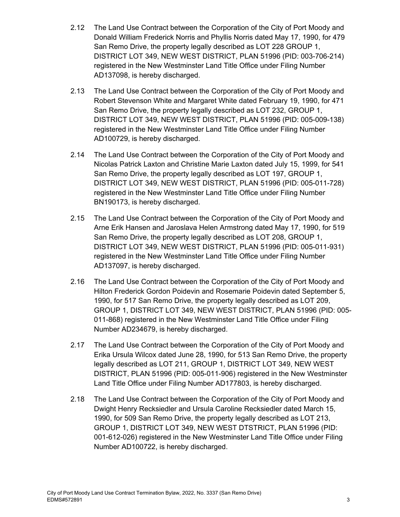- 2.12 The Land Use Contract between the Corporation of the City of Port Moody and Donald William Frederick Norris and Phyllis Norris dated May 17, 1990, for 479 San Remo Drive, the property legally described as LOT 228 GROUP 1, DISTRICT LOT 349, NEW WEST DISTRICT, PLAN 51996 (PID: 003-706-214) registered in the New Westminster Land Title Office under Filing Number AD137098, is hereby discharged.
- 2.13 The Land Use Contract between the Corporation of the City of Port Moody and Robert Stevenson White and Margaret White dated February 19, 1990, for 471 San Remo Drive, the property legally described as LOT 232, GROUP 1, DISTRICT LOT 349, NEW WEST DISTRICT, PLAN 51996 (PID: 005-009-138) registered in the New Westminster Land Title Office under Filing Number AD100729, is hereby discharged.
- 2.14 The Land Use Contract between the Corporation of the City of Port Moody and Nicolas Patrick Laxton and Christine Marie Laxton dated July 15, 1999, for 541 San Remo Drive, the property legally described as LOT 197, GROUP 1, DISTRICT LOT 349, NEW WEST DISTRICT, PLAN 51996 (PID: 005-011-728) registered in the New Westminster Land Title Office under Filing Number BN190173, is hereby discharged.
- 2.15 The Land Use Contract between the Corporation of the City of Port Moody and Arne Erik Hansen and Jaroslava Helen Armstrong dated May 17, 1990, for 519 San Remo Drive, the property legally described as LOT 208, GROUP 1, DISTRICT LOT 349, NEW WEST DISTRICT, PLAN 51996 (PID: 005-011-931) registered in the New Westminster Land Title Office under Filing Number AD137097, is hereby discharged.
- 2.16 The Land Use Contract between the Corporation of the City of Port Moody and Hilton Frederick Gordon Poidevin and Rosemarie Poidevin dated September 5, 1990, for 517 San Remo Drive, the property legally described as LOT 209, GROUP 1, DISTRICT LOT 349, NEW WEST DISTRICT, PLAN 51996 (PID: 005- 011-868) registered in the New Westminster Land Title Office under Filing Number AD234679, is hereby discharged.
- 2.17 The Land Use Contract between the Corporation of the City of Port Moody and Erika Ursula Wilcox dated June 28, 1990, for 513 San Remo Drive, the property legally described as LOT 211, GROUP 1, DISTRICT LOT 349, NEW WEST DISTRICT, PLAN 51996 (PID: 005-011-906) registered in the New Westminster Land Title Office under Filing Number AD177803, is hereby discharged.
- 2.18 The Land Use Contract between the Corporation of the City of Port Moody and Dwight Henry Recksiedler and Ursula Caroline Recksiedler dated March 15, 1990, for 509 San Remo Drive, the property legally described as LOT 213, GROUP 1, DISTRICT LOT 349, NEW WEST DTSTRICT, PLAN 51996 (PID: 001-612-026) registered in the New Westminster Land Title Office under Filing Number AD100722, is hereby discharged.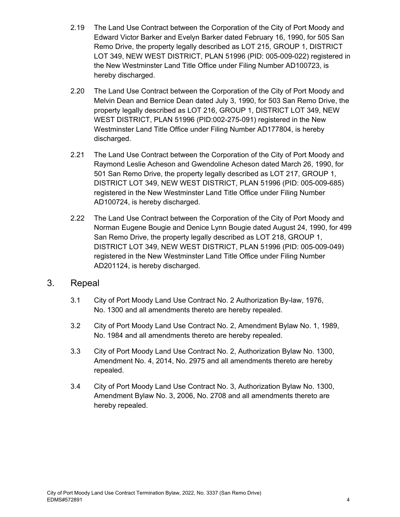- 2.19 The Land Use Contract between the Corporation of the City of Port Moody and Edward Victor Barker and Evelyn Barker dated February 16, 1990, for 505 San Remo Drive, the property legally described as LOT 215, GROUP 1, DISTRICT LOT 349, NEW WEST DISTRICT, PLAN 51996 (PID: 005-009-022) registered in the New Westminster Land Title Office under Filing Number AD100723, is hereby discharged.
- 2.20 The Land Use Contract between the Corporation of the City of Port Moody and Melvin Dean and Bernice Dean dated July 3, 1990, for 503 San Remo Drive, the property legally described as LOT 216, GROUP 1, DISTRICT LOT 349, NEW WEST DISTRICT, PLAN 51996 (PID:002-275-091) registered in the New Westminster Land Title Office under Filing Number AD177804, is hereby discharged.
- 2.21 The Land Use Contract between the Corporation of the City of Port Moody and Raymond Leslie Acheson and Gwendoline Acheson dated March 26, 1990, for 501 San Remo Drive, the property legally described as LOT 217, GROUP 1, DISTRICT LOT 349, NEW WEST DISTRICT, PLAN 51996 (PID: 005-009-685) registered in the New Westminster Land Title Office under Filing Number AD100724, is hereby discharged.
- 2.22 The Land Use Contract between the Corporation of the City of Port Moody and Norman Eugene Bougie and Denice Lynn Bougie dated August 24, 1990, for 499 San Remo Drive, the property legally described as LOT 218, GROUP 1, DISTRICT LOT 349, NEW WEST DISTRICT, PLAN 51996 (PID: 005-009-049) registered in the New Westminster Land Title Office under Filing Number AD201124, is hereby discharged.

## 3. Repeal

- 3.1 City of Port Moody Land Use Contract No. 2 Authorization By-law, 1976, No. 1300 and all amendments thereto are hereby repealed.
- 3.2 City of Port Moody Land Use Contract No. 2, Amendment Bylaw No. 1, 1989, No. 1984 and all amendments thereto are hereby repealed.
- 3.3 City of Port Moody Land Use Contract No. 2, Authorization Bylaw No. 1300, Amendment No. 4, 2014, No. 2975 and all amendments thereto are hereby repealed.
- 3.4 City of Port Moody Land Use Contract No. 3, Authorization Bylaw No. 1300, Amendment Bylaw No. 3, 2006, No. 2708 and all amendments thereto are hereby repealed.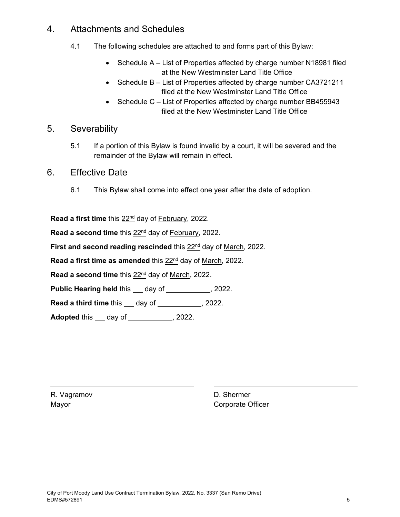## 4. Attachments and Schedules

- 4.1 The following schedules are attached to and forms part of this Bylaw:
	- Schedule A List of Properties affected by charge number N18981 filed at the New Westminster Land Title Office
	- Schedule B List of Properties affected by charge number CA3721211 filed at the New Westminster Land Title Office
	- Schedule C List of Properties affected by charge number BB455943 filed at the New Westminster Land Title Office

## 5. Severability

- 5.1 If a portion of this Bylaw is found invalid by a court, it will be severed and the remainder of the Bylaw will remain in effect.
- 6. Effective Date
	- 6.1 This Bylaw shall come into effect one year after the date of adoption.

Read a first time this 22<sup>nd</sup> day of February, 2022.

Read a second time this 22<sup>nd</sup> day of February, 2022.

First and second reading rescinded this 22<sup>nd</sup> day of March, 2022.

Read a first time as amended this 22<sup>nd</sup> day of March, 2022.

**Read a second time** this 22nd day of March, 2022.

**Public Hearing held this \_\_ day of \_\_\_\_\_\_\_\_\_\_\_, 2022.** 

**Read a third time** this \_\_\_ day of \_\_\_\_\_\_\_\_\_\_\_, 2022.

**Adopted** this <u>candalacted</u> day of <u>contract control</u>, 2022.

R. Vagramov Mayor

D. Shermer Corporate Officer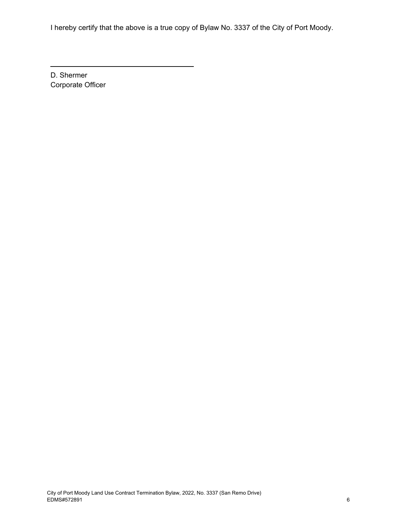I hereby certify that the above is a true copy of Bylaw No. 3337 of the City of Port Moody.

D. Shermer Corporate Officer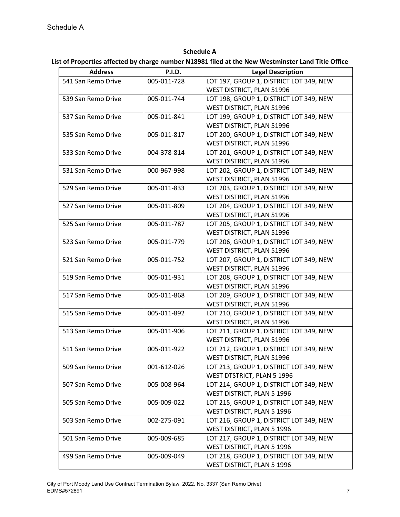**Schedule A**

**List of Properties affected by charge number N18981 filed at the New Westminster Land Title Office**

| <b>Address</b>     | <b>P.I.D.</b> | <b>Legal Description</b>                |
|--------------------|---------------|-----------------------------------------|
| 541 San Remo Drive | 005-011-728   | LOT 197, GROUP 1, DISTRICT LOT 349, NEW |
|                    |               | WEST DISTRICT, PLAN 51996               |
| 539 San Remo Drive | 005-011-744   | LOT 198, GROUP 1, DISTRICT LOT 349, NEW |
|                    |               | WEST DISTRICT, PLAN 51996               |
| 537 San Remo Drive | 005-011-841   | LOT 199, GROUP 1, DISTRICT LOT 349, NEW |
|                    |               | WEST DISTRICT, PLAN 51996               |
| 535 San Remo Drive | 005-011-817   | LOT 200, GROUP 1, DISTRICT LOT 349, NEW |
|                    |               | WEST DISTRICT, PLAN 51996               |
| 533 San Remo Drive | 004-378-814   | LOT 201, GROUP 1, DISTRICT LOT 349, NEW |
|                    |               | WEST DISTRICT, PLAN 51996               |
| 531 San Remo Drive | 000-967-998   | LOT 202, GROUP 1, DISTRICT LOT 349, NEW |
|                    |               | WEST DISTRICT, PLAN 51996               |
| 529 San Remo Drive | 005-011-833   | LOT 203, GROUP 1, DISTRICT LOT 349, NEW |
|                    |               | WEST DISTRICT, PLAN 51996               |
| 527 San Remo Drive | 005-011-809   | LOT 204, GROUP 1, DISTRICT LOT 349, NEW |
|                    |               | WEST DISTRICT, PLAN 51996               |
| 525 San Remo Drive | 005-011-787   | LOT 205, GROUP 1, DISTRICT LOT 349, NEW |
|                    |               | WEST DISTRICT, PLAN 51996               |
| 523 San Remo Drive | 005-011-779   | LOT 206, GROUP 1, DISTRICT LOT 349, NEW |
|                    |               | WEST DISTRICT, PLAN 51996               |
| 521 San Remo Drive | 005-011-752   | LOT 207, GROUP 1, DISTRICT LOT 349, NEW |
|                    |               | WEST DISTRICT, PLAN 51996               |
| 519 San Remo Drive | 005-011-931   | LOT 208, GROUP 1, DISTRICT LOT 349, NEW |
|                    |               | WEST DISTRICT, PLAN 51996               |
| 517 San Remo Drive | 005-011-868   | LOT 209, GROUP 1, DISTRICT LOT 349, NEW |
|                    |               | WEST DISTRICT, PLAN 51996               |
| 515 San Remo Drive | 005-011-892   | LOT 210, GROUP 1, DISTRICT LOT 349, NEW |
|                    |               | WEST DISTRICT, PLAN 51996               |
| 513 San Remo Drive | 005-011-906   | LOT 211, GROUP 1, DISTRICT LOT 349, NEW |
|                    |               | WEST DISTRICT, PLAN 51996               |
| 511 San Remo Drive | 005-011-922   | LOT 212, GROUP 1, DISTRICT LOT 349, NEW |
|                    |               | WEST DISTRICT, PLAN 51996               |
| 509 San Remo Drive | 001-612-026   | LOT 213, GROUP 1, DISTRICT LOT 349, NEW |
|                    |               | WEST DTSTRICT, PLAN 5 1996              |
| 507 San Remo Drive | 005-008-964   | LOT 214, GROUP 1, DISTRICT LOT 349, NEW |
|                    |               | WEST DISTRICT, PLAN 5 1996              |
| 505 San Remo Drive | 005-009-022   | LOT 215, GROUP 1, DISTRICT LOT 349, NEW |
|                    |               | WEST DISTRICT, PLAN 5 1996              |
| 503 San Remo Drive | 002-275-091   | LOT 216, GROUP 1, DISTRICT LOT 349, NEW |
|                    |               | WEST DISTRICT, PLAN 5 1996              |
| 501 San Remo Drive | 005-009-685   | LOT 217, GROUP 1, DISTRICT LOT 349, NEW |
|                    |               | WEST DISTRICT, PLAN 5 1996              |
| 499 San Remo Drive | 005-009-049   | LOT 218, GROUP 1, DISTRICT LOT 349, NEW |
|                    |               | WEST DISTRICT, PLAN 5 1996              |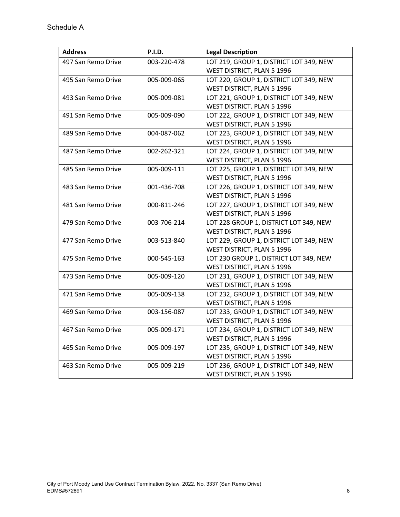| <b>Address</b>     | <b>P.I.D.</b> | <b>Legal Description</b>                                              |
|--------------------|---------------|-----------------------------------------------------------------------|
| 497 San Remo Drive | 003-220-478   | LOT 219, GROUP 1, DISTRICT LOT 349, NEW<br>WEST DISTRICT, PLAN 5 1996 |
| 495 San Remo Drive | 005-009-065   | LOT 220, GROUP 1, DISTRICT LOT 349, NEW                               |
|                    |               | WEST DISTRICT, PLAN 5 1996                                            |
| 493 San Remo Drive | 005-009-081   | LOT 221, GROUP 1, DISTRICT LOT 349, NEW                               |
|                    |               | WEST DISTRICT. PLAN 5 1996                                            |
| 491 San Remo Drive | 005-009-090   | LOT 222, GROUP 1, DISTRICT LOT 349, NEW                               |
|                    |               | WEST DISTRICT, PLAN 5 1996                                            |
| 489 San Remo Drive | 004-087-062   | LOT 223, GROUP 1, DISTRICT LOT 349, NEW                               |
|                    |               | WEST DISTRICT, PLAN 5 1996                                            |
| 487 San Remo Drive | 002-262-321   | LOT 224, GROUP 1, DISTRICT LOT 349, NEW                               |
|                    |               | WEST DISTRICT, PLAN 5 1996                                            |
| 485 San Remo Drive | 005-009-111   | LOT 225, GROUP 1, DISTRICT LOT 349, NEW                               |
|                    |               | WEST DISTRICT, PLAN 5 1996                                            |
| 483 San Remo Drive | 001-436-708   | LOT 226, GROUP 1, DISTRICT LOT 349, NEW                               |
|                    |               | WEST DISTRICT, PLAN 5 1996                                            |
| 481 San Remo Drive | 000-811-246   | LOT 227, GROUP 1, DISTRICT LOT 349, NEW                               |
|                    |               | WEST DISTRICT, PLAN 5 1996                                            |
| 479 San Remo Drive | 003-706-214   | LOT 228 GROUP 1, DISTRICT LOT 349, NEW                                |
|                    |               | WEST DISTRICT, PLAN 5 1996                                            |
| 477 San Remo Drive | 003-513-840   | LOT 229, GROUP 1, DISTRICT LOT 349, NEW                               |
|                    |               | WEST DISTRICT, PLAN 5 1996                                            |
| 475 San Remo Drive | 000-545-163   | LOT 230 GROUP 1, DISTRICT LOT 349, NEW                                |
|                    |               | WEST DISTRICT, PLAN 5 1996                                            |
| 473 San Remo Drive | 005-009-120   | LOT 231, GROUP 1, DISTRICT LOT 349, NEW                               |
|                    |               | WEST DISTRICT, PLAN 5 1996                                            |
| 471 San Remo Drive | 005-009-138   | LOT 232, GROUP 1, DISTRICT LOT 349, NEW                               |
|                    |               | WEST DISTRICT, PLAN 5 1996                                            |
| 469 San Remo Drive | 003-156-087   | LOT 233, GROUP 1, DISTRICT LOT 349, NEW                               |
|                    |               | WEST DISTRICT, PLAN 5 1996                                            |
| 467 San Remo Drive | 005-009-171   | LOT 234, GROUP 1, DISTRICT LOT 349, NEW                               |
|                    |               | WEST DISTRICT, PLAN 5 1996                                            |
| 465 San Remo Drive | 005-009-197   | LOT 235, GROUP 1, DISTRICT LOT 349, NEW                               |
|                    |               | WEST DISTRICT, PLAN 5 1996                                            |
| 463 San Remo Drive | 005-009-219   | LOT 236, GROUP 1, DISTRICT LOT 349, NEW                               |
|                    |               | WEST DISTRICT, PLAN 5 1996                                            |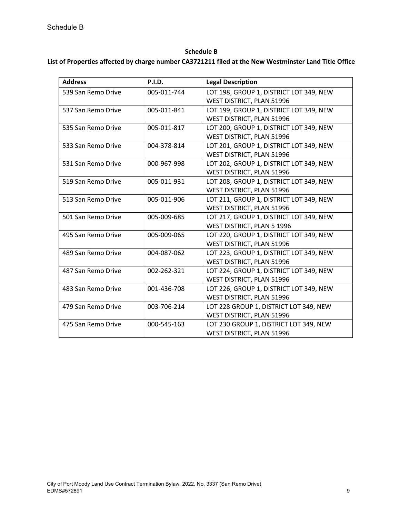#### **Schedule B**

#### **List of Properties affected by charge number CA3721211 filed at the New Westminster Land Title Office**

| <b>Address</b>     | <b>P.I.D.</b> | <b>Legal Description</b>                |
|--------------------|---------------|-----------------------------------------|
| 539 San Remo Drive | 005-011-744   | LOT 198, GROUP 1, DISTRICT LOT 349, NEW |
|                    |               | WEST DISTRICT, PLAN 51996               |
| 537 San Remo Drive | 005-011-841   | LOT 199, GROUP 1, DISTRICT LOT 349, NEW |
|                    |               | WEST DISTRICT, PLAN 51996               |
| 535 San Remo Drive | 005-011-817   | LOT 200, GROUP 1, DISTRICT LOT 349, NEW |
|                    |               | WEST DISTRICT, PLAN 51996               |
| 533 San Remo Drive | 004-378-814   | LOT 201, GROUP 1, DISTRICT LOT 349, NEW |
|                    |               | WEST DISTRICT, PLAN 51996               |
| 531 San Remo Drive | 000-967-998   | LOT 202, GROUP 1, DISTRICT LOT 349, NEW |
|                    |               | WEST DISTRICT, PLAN 51996               |
| 519 San Remo Drive | 005-011-931   | LOT 208, GROUP 1, DISTRICT LOT 349, NEW |
|                    |               | WEST DISTRICT, PLAN 51996               |
| 513 San Remo Drive | 005-011-906   | LOT 211, GROUP 1, DISTRICT LOT 349, NEW |
|                    |               | WEST DISTRICT, PLAN 51996               |
| 501 San Remo Drive | 005-009-685   | LOT 217, GROUP 1, DISTRICT LOT 349, NEW |
|                    |               | WEST DISTRICT, PLAN 5 1996              |
| 495 San Remo Drive | 005-009-065   | LOT 220, GROUP 1, DISTRICT LOT 349, NEW |
|                    |               | WEST DISTRICT, PLAN 51996               |
| 489 San Remo Drive | 004-087-062   | LOT 223, GROUP 1, DISTRICT LOT 349, NEW |
|                    |               | WEST DISTRICT, PLAN 51996               |
| 487 San Remo Drive | 002-262-321   | LOT 224, GROUP 1, DISTRICT LOT 349, NEW |
|                    |               | WEST DISTRICT, PLAN 51996               |
| 483 San Remo Drive | 001-436-708   | LOT 226, GROUP 1, DISTRICT LOT 349, NEW |
|                    |               | WEST DISTRICT, PLAN 51996               |
| 479 San Remo Drive | 003-706-214   | LOT 228 GROUP 1, DISTRICT LOT 349, NEW  |
|                    |               | WEST DISTRICT, PLAN 51996               |
| 475 San Remo Drive | 000-545-163   | LOT 230 GROUP 1, DISTRICT LOT 349, NEW  |
|                    |               | WEST DISTRICT, PLAN 51996               |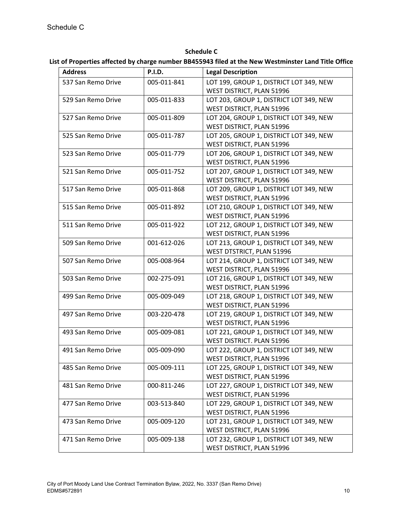## **Schedule C List of Properties affected by charge number BB455943 filed at the New Westminster Land Title Office**

| <b>Address</b>     | <b>P.I.D.</b> | <b>Legal Description</b>                |
|--------------------|---------------|-----------------------------------------|
| 537 San Remo Drive | 005-011-841   | LOT 199, GROUP 1, DISTRICT LOT 349, NEW |
|                    |               | WEST DISTRICT, PLAN 51996               |
| 529 San Remo Drive | 005-011-833   | LOT 203, GROUP 1, DISTRICT LOT 349, NEW |
|                    |               | WEST DISTRICT, PLAN 51996               |
| 527 San Remo Drive | 005-011-809   | LOT 204, GROUP 1, DISTRICT LOT 349, NEW |
|                    |               | WEST DISTRICT, PLAN 51996               |
| 525 San Remo Drive | 005-011-787   | LOT 205, GROUP 1, DISTRICT LOT 349, NEW |
|                    |               | WEST DISTRICT, PLAN 51996               |
| 523 San Remo Drive | 005-011-779   | LOT 206, GROUP 1, DISTRICT LOT 349, NEW |
|                    |               | WEST DISTRICT, PLAN 51996               |
| 521 San Remo Drive | 005-011-752   | LOT 207, GROUP 1, DISTRICT LOT 349, NEW |
|                    |               | WEST DISTRICT, PLAN 51996               |
| 517 San Remo Drive | 005-011-868   | LOT 209, GROUP 1, DISTRICT LOT 349, NEW |
|                    |               | WEST DISTRICT, PLAN 51996               |
| 515 San Remo Drive | 005-011-892   | LOT 210, GROUP 1, DISTRICT LOT 349, NEW |
|                    |               | WEST DISTRICT, PLAN 51996               |
| 511 San Remo Drive | 005-011-922   | LOT 212, GROUP 1, DISTRICT LOT 349, NEW |
|                    |               | WEST DISTRICT, PLAN 51996               |
| 509 San Remo Drive | 001-612-026   | LOT 213, GROUP 1, DISTRICT LOT 349, NEW |
|                    |               | WEST DTSTRICT, PLAN 51996               |
| 507 San Remo Drive | 005-008-964   | LOT 214, GROUP 1, DISTRICT LOT 349, NEW |
|                    |               | WEST DISTRICT, PLAN 51996               |
| 503 San Remo Drive | 002-275-091   | LOT 216, GROUP 1, DISTRICT LOT 349, NEW |
|                    |               | WEST DISTRICT, PLAN 51996               |
| 499 San Remo Drive | 005-009-049   | LOT 218, GROUP 1, DISTRICT LOT 349, NEW |
|                    |               | WEST DISTRICT, PLAN 51996               |
| 497 San Remo Drive | 003-220-478   | LOT 219, GROUP 1, DISTRICT LOT 349, NEW |
|                    |               | WEST DISTRICT, PLAN 51996               |
| 493 San Remo Drive | 005-009-081   | LOT 221, GROUP 1, DISTRICT LOT 349, NEW |
|                    |               | WEST DISTRICT. PLAN 51996               |
| 491 San Remo Drive | 005-009-090   | LOT 222, GROUP 1, DISTRICT LOT 349, NEW |
|                    |               | WEST DISTRICT, PLAN 51996               |
| 485 San Remo Drive | 005-009-111   | LOT 225, GROUP 1, DISTRICT LOT 349, NEW |
|                    |               | WEST DISTRICT, PLAN 51996               |
| 481 San Remo Drive | 000-811-246   | LOT 227, GROUP 1, DISTRICT LOT 349, NEW |
|                    |               | WEST DISTRICT, PLAN 51996               |
| 477 San Remo Drive | 003-513-840   | LOT 229, GROUP 1, DISTRICT LOT 349, NEW |
|                    |               | WEST DISTRICT, PLAN 51996               |
| 473 San Remo Drive | 005-009-120   | LOT 231, GROUP 1, DISTRICT LOT 349, NEW |
|                    |               | WEST DISTRICT, PLAN 51996               |
| 471 San Remo Drive | 005-009-138   | LOT 232, GROUP 1, DISTRICT LOT 349, NEW |
|                    |               | WEST DISTRICT, PLAN 51996               |